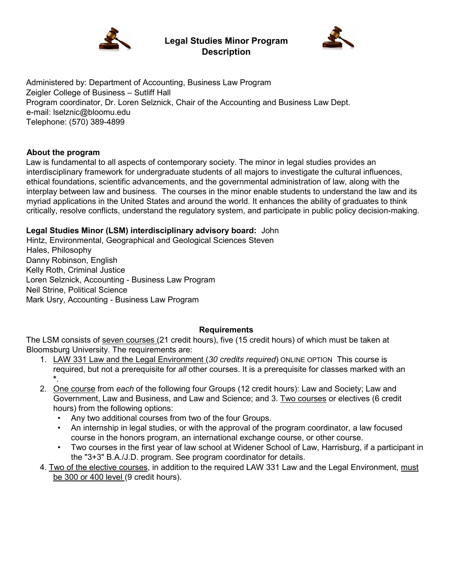

**Legal Studies Minor Program Description** 



Administered by: Department of Accounting, Business Law Program Zeigler College of Business – Sutliff Hall Program coordinator, Dr. Loren Selznick, Chair of the Accounting and Business Law Dept. e-mail: lselznic@bloomu.edu Telephone: (570) 389-4899

# **About the program**

Law is fundamental to all aspects of contemporary society. The minor in legal studies provides an interdisciplinary framework for undergraduate students of all majors to investigate the cultural influences, ethical foundations, scientific advancements, and the governmental administration of law, along with the interplay between law and business. The courses in the minor enable students to understand the law and its myriad applications in the United States and around the world. It enhances the ability of graduates to think critically, resolve conflicts, understand the regulatory system, and participate in public policy decision-making.

# **Legal Studies Minor (LSM) interdisciplinary advisory board:** John

Hintz, [Environmental, Geographical and Geological Sciences S](http://bloomu.edu/eggs)teven Hales, Philosophy Danny Robinson, English Kelly Roth, Criminal Justice Loren Selznick, Accounting - Business Law Program Neil Strine, Political Science Mark Usry, Accounting - Business Law Program

### **Requirements**

The LSM consists of seven courses (21 credit hours), five (15 credit hours) of which must be taken at Bloomsburg University. The requirements are:

- 1. LAW 331 Law and the Legal Environment (*30 credits required*) ONLINE OPTION This course is required, but not a prerequisite for *all* other courses. It is a prerequisite for classes marked with an **\***.
- 2. One course from *each* of the following four Groups (12 credit hours): Law and Society; Law and Government, Law and Business, and Law and Science; and 3. Two courses or electives (6 credit hours) from the following options:
	- Any two additional courses from two of the four Groups.
	- An internship in legal studies, or with the approval of the program coordinator, a law focused course in the honors program, an international exchange course, or other course.
	- Two courses in the first year of law school at Widener School of Law, Harrisburg, if a participant in the "3+3" B.A./J.D. program. See program coordinator for details.
- 4. Two of the elective courses, in addition to the required LAW 331 Law and the Legal Environment, must be 300 or 400 level (9 credit hours).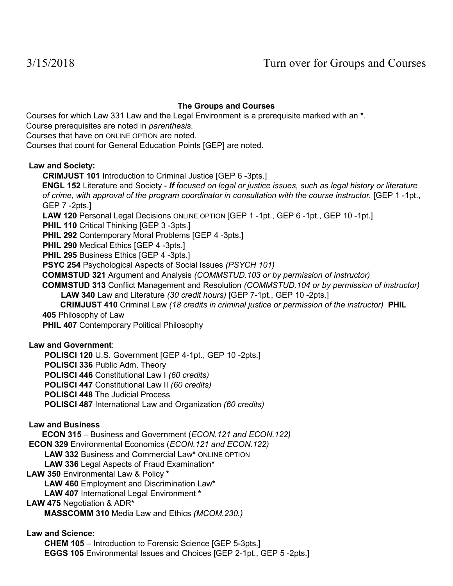# **The Groups and Courses**

Courses for which Law 331 Law and the Legal Environment is a prerequisite marked with an \*.

Course prerequisites are noted in *parenthesis*.

Courses that have on ONLINE OPTION are noted.

Courses that count for General Education Points [GEP] are noted.

### **Law and Society:**

**CRIMJUST 101** Introduction to Criminal Justice [GEP 6 -3pts.]

**ENGL 152** Literature and Society - *If focused on legal or justice issues, such as legal history or literature of crime, with approval of the program coordinator in consultation with the course instructor.* [GEP 1 -1pt., GEP 7 -2pts.]

**LAW 120** Personal Legal Decisions ONLINE OPTION [GEP 1 -1pt., GEP 6 -1pt., GEP 10 -1pt.]

**PHIL 110 Critical Thinking [GEP 3 -3pts.]** 

**PHIL 292** Contemporary Moral Problems [GEP 4 -3pts.]

**PHIL 290** Medical Ethics [GEP 4 -3pts.]

**PHIL 295 Business Ethics [GEP 4 -3pts.]** 

**PSYC 254** Psychological Aspects of Social Issues *(PSYCH 101)*

**COMMSTUD 321** Argument and Analysis *(COMMSTUD.103 or by permission of instructor)*

**COMMSTUD 313** Conflict Management and Resolution *(COMMSTUD.104 or by permission of instructor)* **LAW 340** Law and Literature *(30 credit hours)* [GEP 7-1pt., GEP 10 -2pts.]

 **CRIMJUST 410** Criminal Law *(18 credits in criminal justice or permission of the instructor)* **PHIL 405** Philosophy of Law

**PHIL 407** Contemporary Political Philosophy

### **Law and Government**:

**POLISCI 120** U.S. Government [GEP 4-1pt., GEP 10 -2pts.]

**POLISCI 336** Public Adm. Theory

**POLISCI 446** Constitutional Law I *(60 credits)* 

**POLISCI 447** Constitutional Law II *(60 credits)*

**POLISCI 448** The Judicial Process

**POLISCI 487** International Law and Organization *(60 credits)*

### **Law and Business**

**ECON 315** – Business and Government (*ECON.121 and ECON.122)* 

**ECON 329** Environmental Economics (*ECON.121 and ECON.122)*

 **LAW 332** Business and Commercial Law**\*** ONLINE OPTION

 **LAW 336** Legal Aspects of Fraud Examination**\*** 

**LAW 350** Environmental Law & Policy **\***

 **LAW 460** Employment and Discrimination Law**\***

**LAW 407** International Legal Environment **\*** 

### **LAW 475** Negotiation & ADR**\***

 **MASSCOMM 310** Media Law and Ethics *(MCOM.230.)* 

**Law and Science:** 

**CHEM 105** – Introduction to Forensic Science [GEP 5-3pts.] **EGGS 105** Environmental Issues and Choices [GEP 2-1pt., GEP 5 -2pts.]